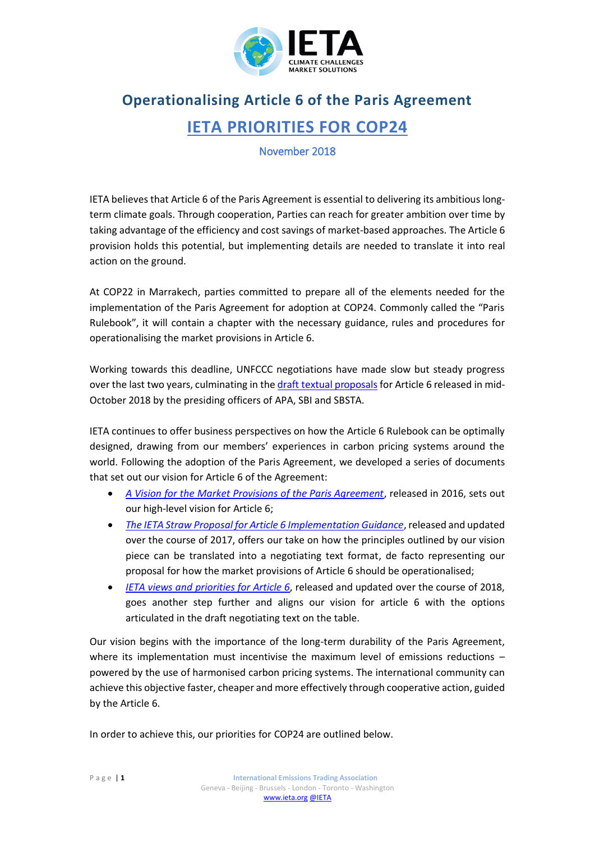

## **Operationalising Article 6 of the Paris Agreement IETA PRIORITIES FOR COP24**

## November 2018

IETA believes that Article 6 of the Paris Agreement is essential to delivering its ambitious longterm climate goals. Through cooperation, Parties can reach for greater ambition over time by taking advantage of the efficiency and cost savings of market-based approaches. The Article 6 provision holds this potential, but implementing details are needed to translate it into real action on the ground.

At COP22 in Marrakech, parties committed to prepare all of the elements needed for the implementation of the Paris Agreement for adoption at COP24. Commonly called the "Paris Rulebook", it will contain a chapter with the necessary guidance, rules and procedures for operationalising the market provisions in Article 6.

Working towards this deadline, UNFCCC negotiations have made slow but steady progress over the last two years, culminating in th[e draft textual proposals](https://www.ieta.org/resources/International_WG/2018/COP24/APA_SBSTA_SBI.2018.Informal.2.Add_.2.pdf) for Article 6 released in mid-October 2018 by the presiding officers of APA, SBI and SBSTA.

IETA continues to offer business perspectives on how the Article 6 Rulebook can be optimally designed, drawing from our members' experiences in carbon pricing systems around the world. Following the adoption of the Paris Agreement, we developed a series of documents that set out our vision for Article 6 of the Agreement:

- *[A Vision for the Market Provisions of the Paris Agreement](http://ieta.wildapricot.org/resources/Resources/Position_Papers/2016/IETA_Article_6_Implementation_Paper_May2016.pdf)*, released in 2016, sets out our high-level vision for Article 6;
- *[The IETA Straw Proposal for Article 6 Implementation Guidance](https://www.ieta.org/resources/International_WG/2018/IETA%20Article%206%20Straw%20Proposal%20November%202017.pdf)*, released and updated over the course of 2017, offers our take on how the principles outlined by our vision piece can be translated into a negotiating text format, de facto representing our proposal for how the market provisions of Article 6 should be operationalised;
- *[IETA views and priorities](https://www.ieta.org/resources/COP24/Documents/IETA%20Views%20and%20Priorities%20for%20Article%206.pdf) for Article 6*, released and updated over the course of 2018, goes another step further and aligns our vision for article 6 with the options articulated in the draft negotiating text on the table.

Our vision begins with the importance of the long-term durability of the Paris Agreement, where its implementation must incentivise the maximum level of emissions reductions powered by the use of harmonised carbon pricing systems. The international community can achieve this objective faster, cheaper and more effectively through cooperative action, guided by the Article 6.

In order to achieve this, our priorities for COP24 are outlined below.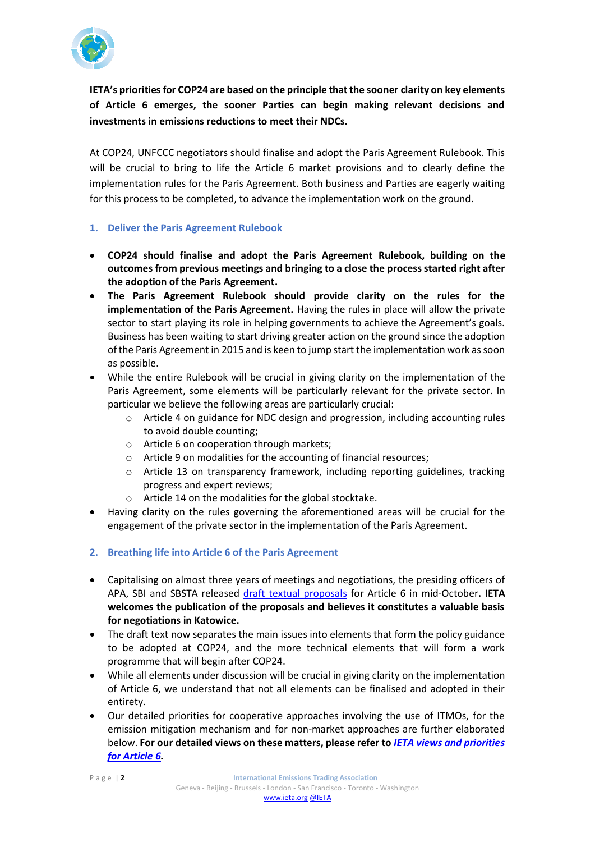

**IETA's priorities for COP24 are based on the principle that the sooner clarity on key elements of Article 6 emerges, the sooner Parties can begin making relevant decisions and investments in emissions reductions to meet their NDCs.** 

At COP24, UNFCCC negotiators should finalise and adopt the Paris Agreement Rulebook. This will be crucial to bring to life the Article 6 market provisions and to clearly define the implementation rules for the Paris Agreement. Both business and Parties are eagerly waiting for this process to be completed, to advance the implementation work on the ground.

- **1. Deliver the Paris Agreement Rulebook**
- **COP24 should finalise and adopt the Paris Agreement Rulebook, building on the outcomes from previous meetings and bringing to a close the process started right after the adoption of the Paris Agreement.**
- **The Paris Agreement Rulebook should provide clarity on the rules for the implementation of the Paris Agreement.** Having the rules in place will allow the private sector to start playing its role in helping governments to achieve the Agreement's goals. Business has been waiting to start driving greater action on the ground since the adoption of the Paris Agreement in 2015 and is keen to jump start the implementation work as soon as possible.
- While the entire Rulebook will be crucial in giving clarity on the implementation of the Paris Agreement, some elements will be particularly relevant for the private sector. In particular we believe the following areas are particularly crucial:
	- o Article 4 on guidance for NDC design and progression, including accounting rules to avoid double counting;
	- o Article 6 on cooperation through markets;
	- o Article 9 on modalities for the accounting of financial resources;
	- $\circ$  Article 13 on transparency framework, including reporting guidelines, tracking progress and expert reviews;
	- o Article 14 on the modalities for the global stocktake.
- Having clarity on the rules governing the aforementioned areas will be crucial for the engagement of the private sector in the implementation of the Paris Agreement.
- **2. Breathing life into Article 6 of the Paris Agreement**
- Capitalising on almost three years of meetings and negotiations, the presiding officers of APA, SBI and SBSTA released [draft textual proposals](https://www.ieta.org/resources/International_WG/2018/COP24/APA_SBSTA_SBI.2018.Informal.2.Add_.2.pdf) for Article 6 in mid-October**. IETA welcomes the publication of the proposals and believes it constitutes a valuable basis for negotiations in Katowice.**
- The draft text now separates the main issues into elements that form the policy guidance to be adopted at COP24, and the more technical elements that will form a work programme that will begin after COP24.
- While all elements under discussion will be crucial in giving clarity on the implementation of Article 6, we understand that not all elements can be finalised and adopted in their entirety.
- Our detailed priorities for cooperative approaches involving the use of ITMOs, for the emission mitigation mechanism and for non-market approaches are further elaborated below. **For our detailed views on these matters, please refer to** *[IETA views and priorities](https://www.ieta.org/resources/COP24/Documents/IETA%20Views%20and%20Priorities%20for%20Article%206.pdf)  [for Article 6.](https://www.ieta.org/resources/COP24/Documents/IETA%20Views%20and%20Priorities%20for%20Article%206.pdf)*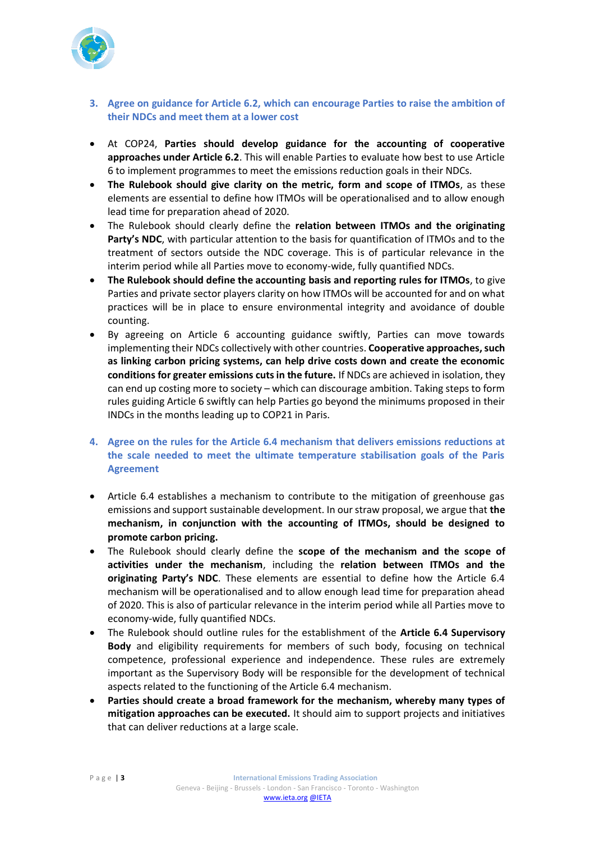

- **3. Agree on guidance for Article 6.2, which can encourage Parties to raise the ambition of their NDCs and meet them at a lower cost**
- At COP24, **Parties should develop guidance for the accounting of cooperative approaches under Article 6.2**. This will enable Parties to evaluate how best to use Article 6 to implement programmes to meet the emissions reduction goals in their NDCs.
- **The Rulebook should give clarity on the metric, form and scope of ITMOs**, as these elements are essential to define how ITMOs will be operationalised and to allow enough lead time for preparation ahead of 2020.
- The Rulebook should clearly define the **relation between ITMOs and the originating Party's NDC**, with particular attention to the basis for quantification of ITMOs and to the treatment of sectors outside the NDC coverage. This is of particular relevance in the interim period while all Parties move to economy-wide, fully quantified NDCs.
- **The Rulebook should define the accounting basis and reporting rules for ITMOs**, to give Parties and private sector players clarity on how ITMOs will be accounted for and on what practices will be in place to ensure environmental integrity and avoidance of double counting.
- By agreeing on Article 6 accounting guidance swiftly, Parties can move towards implementing their NDCs collectively with other countries. **Cooperative approaches, such as linking carbon pricing systems, can help drive costs down and create the economic conditions for greater emissions cuts in the future.** If NDCs are achieved in isolation, they can end up costing more to society – which can discourage ambition. Taking steps to form rules guiding Article 6 swiftly can help Parties go beyond the minimums proposed in their INDCs in the months leading up to COP21 in Paris.
- **4. Agree on the rules for the Article 6.4 mechanism that delivers emissions reductions at the scale needed to meet the ultimate temperature stabilisation goals of the Paris Agreement**
- Article 6.4 establishes a mechanism to contribute to the mitigation of greenhouse gas emissions and support sustainable development. In our straw proposal, we argue that **the mechanism, in conjunction with the accounting of ITMOs, should be designed to promote carbon pricing.**
- The Rulebook should clearly define the **scope of the mechanism and the scope of activities under the mechanism**, including the **relation between ITMOs and the originating Party's NDC**. These elements are essential to define how the Article 6.4 mechanism will be operationalised and to allow enough lead time for preparation ahead of 2020. This is also of particular relevance in the interim period while all Parties move to economy-wide, fully quantified NDCs.
- The Rulebook should outline rules for the establishment of the **Article 6.4 Supervisory Body** and eligibility requirements for members of such body, focusing on technical competence, professional experience and independence. These rules are extremely important as the Supervisory Body will be responsible for the development of technical aspects related to the functioning of the Article 6.4 mechanism.
- **Parties should create a broad framework for the mechanism, whereby many types of mitigation approaches can be executed.** It should aim to support projects and initiatives that can deliver reductions at a large scale.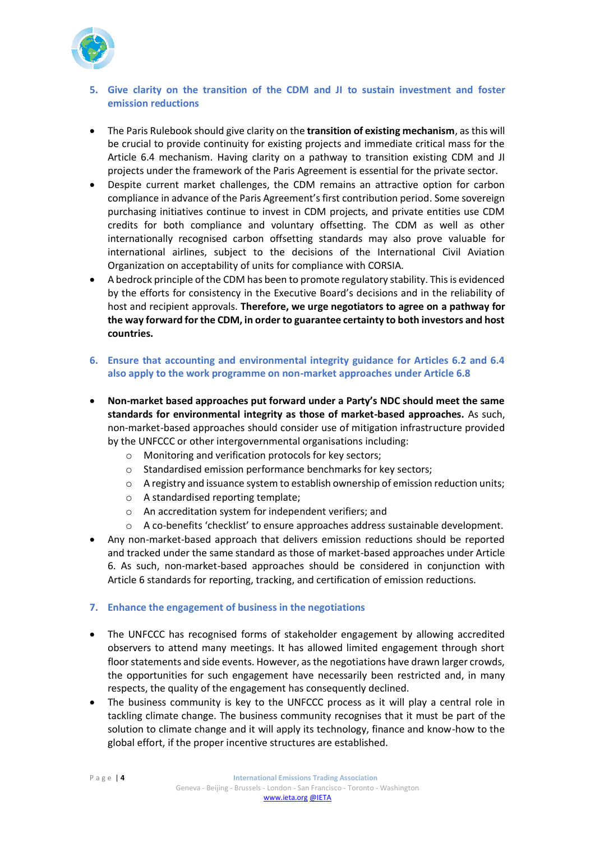

## **5. Give clarity on the transition of the CDM and JI to sustain investment and foster emission reductions**

- The Paris Rulebook should give clarity on the **transition of existing mechanism**, as this will be crucial to provide continuity for existing projects and immediate critical mass for the Article 6.4 mechanism. Having clarity on a pathway to transition existing CDM and JI projects under the framework of the Paris Agreement is essential for the private sector.
- Despite current market challenges, the CDM remains an attractive option for carbon compliance in advance of the Paris Agreement's first contribution period. Some sovereign purchasing initiatives continue to invest in CDM projects, and private entities use CDM credits for both compliance and voluntary offsetting. The CDM as well as other internationally recognised carbon offsetting standards may also prove valuable for international airlines, subject to the decisions of the International Civil Aviation Organization on acceptability of units for compliance with CORSIA.
- A bedrock principle of the CDM has been to promote regulatory stability. This is evidenced by the efforts for consistency in the Executive Board's decisions and in the reliability of host and recipient approvals. **Therefore, we urge negotiators to agree on a pathway for the way forward for the CDM, in order to guarantee certainty to both investors and host countries.**
- **6. Ensure that accounting and environmental integrity guidance for Articles 6.2 and 6.4 also apply to the work programme on non-market approaches under Article 6.8**
- **Non-market based approaches put forward under a Party's NDC should meet the same standards for environmental integrity as those of market-based approaches.** As such, non-market-based approaches should consider use of mitigation infrastructure provided by the UNFCCC or other intergovernmental organisations including:
	- o Monitoring and verification protocols for key sectors;
	- o Standardised emission performance benchmarks for key sectors;
	- o A registry and issuance system to establish ownership of emission reduction units;
	- o A standardised reporting template;
	- o An accreditation system for independent verifiers; and
	- $\circ$  A co-benefits 'checklist' to ensure approaches address sustainable development.
- Any non-market-based approach that delivers emission reductions should be reported and tracked under the same standard as those of market-based approaches under Article 6. As such, non-market-based approaches should be considered in conjunction with Article 6 standards for reporting, tracking, and certification of emission reductions.

## **7. Enhance the engagement of business in the negotiations**

- The UNFCCC has recognised forms of stakeholder engagement by allowing accredited observers to attend many meetings. It has allowed limited engagement through short floor statements and side events. However, as the negotiations have drawn larger crowds, the opportunities for such engagement have necessarily been restricted and, in many respects, the quality of the engagement has consequently declined.
- The business community is key to the UNFCCC process as it will play a central role in tackling climate change. The business community recognises that it must be part of the solution to climate change and it will apply its technology, finance and know-how to the global effort, if the proper incentive structures are established.